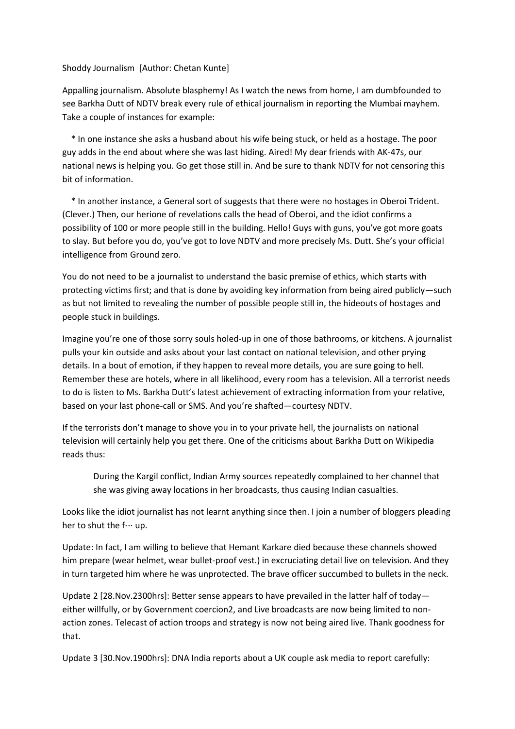## Shoddy Journalism [Author: Chetan Kunte]

Appalling journalism. Absolute blasphemy! As I watch the news from home, I am dumbfounded to see Barkha Dutt of NDTV break every rule of ethical journalism in reporting the Mumbai mayhem. Take a couple of instances for example:

 \* In one instance she asks a husband about his wife being stuck, or held as a hostage. The poor guy adds in the end about where she was last hiding. Aired! My dear friends with AK-47s, our national news is helping you. Go get those still in. And be sure to thank NDTV for not censoring this bit of information.

 \* In another instance, a General sort of suggests that there were no hostages in Oberoi Trident. (Clever.) Then, our herione of revelations calls the head of Oberoi, and the idiot confirms a possibility of 100 or more people still in the building. Hello! Guys with guns, you've got more goats to slay. But before you do, you've got to love NDTV and more precisely Ms. Dutt. She's your official intelligence from Ground zero.

You do not need to be a journalist to understand the basic premise of ethics, which starts with protecting victims first; and that is done by avoiding key information from being aired publicly—such as but not limited to revealing the number of possible people still in, the hideouts of hostages and people stuck in buildings.

Imagine you're one of those sorry souls holed-up in one of those bathrooms, or kitchens. A journalist pulls your kin outside and asks about your last contact on national television, and other prying details. In a bout of emotion, if they happen to reveal more details, you are sure going to hell. Remember these are hotels, where in all likelihood, every room has a television. All a terrorist needs to do is listen to Ms. Barkha Dutt's latest achievement of extracting information from your relative, based on your last phone-call or SMS. And you're shafted—courtesy NDTV.

If the terrorists don't manage to shove you in to your private hell, the journalists on national television will certainly help you get there. One of the criticisms about Barkha Dutt on Wikipedia reads thus:

During the Kargil conflict, Indian Army sources repeatedly complained to her channel that she was giving away locations in her broadcasts, thus causing Indian casualties.

Looks like the idiot journalist has not learnt anything since then. I join a number of bloggers pleading her to shut the f… up.

Update: In fact, I am willing to believe that Hemant Karkare died because these channels showed him prepare (wear helmet, wear bullet-proof vest.) in excruciating detail live on television. And they in turn targeted him where he was unprotected. The brave officer succumbed to bullets in the neck.

Update 2 [28.Nov.2300hrs]: Better sense appears to have prevailed in the latter half of today either willfully, or by Government coercion2, and Live broadcasts are now being limited to nonaction zones. Telecast of action troops and strategy is now not being aired live. Thank goodness for that.

Update 3 [30.Nov.1900hrs]: DNA India reports about a UK couple ask media to report carefully: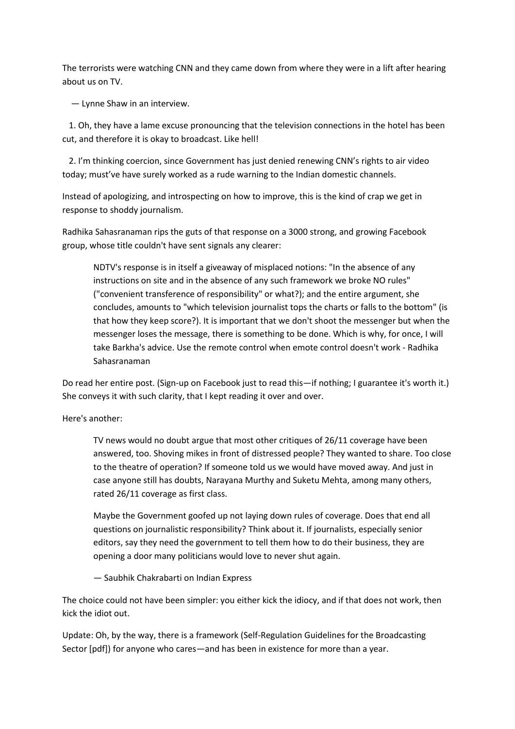The terrorists were watching CNN and they came down from where they were in a lift after hearing about us on TV.

— Lynne Shaw in an interview.

 1. Oh, they have a lame excuse pronouncing that the television connections in the hotel has been cut, and therefore it is okay to broadcast. Like hell!

 2. I'm thinking coercion, since Government has just denied renewing CNN's rights to air video today; must've have surely worked as a rude warning to the Indian domestic channels.

Instead of apologizing, and introspecting on how to improve, this is the kind of crap we get in response to shoddy journalism.

Radhika Sahasranaman rips the guts of that response on a 3000 strong, and growing Facebook group, whose title couldn't have sent signals any clearer:

NDTV's response is in itself a giveaway of misplaced notions: "In the absence of any instructions on site and in the absence of any such framework we broke NO rules" ("convenient transference of responsibility" or what?); and the entire argument, she concludes, amounts to "which television journalist tops the charts or falls to the bottom" (is that how they keep score?). It is important that we don't shoot the messenger but when the messenger loses the message, there is something to be done. Which is why, for once, I will take Barkha's advice. Use the remote control when emote control doesn't work - Radhika Sahasranaman

Do read her entire post. (Sign-up on Facebook just to read this—if nothing; I guarantee it's worth it.) She conveys it with such clarity, that I kept reading it over and over.

Here's another:

TV news would no doubt argue that most other critiques of 26/11 coverage have been answered, too. Shoving mikes in front of distressed people? They wanted to share. Too close to the theatre of operation? If someone told us we would have moved away. And just in case anyone still has doubts, Narayana Murthy and Suketu Mehta, among many others, rated 26/11 coverage as first class.

Maybe the Government goofed up not laying down rules of coverage. Does that end all questions on journalistic responsibility? Think about it. If journalists, especially senior editors, say they need the government to tell them how to do their business, they are opening a door many politicians would love to never shut again.

— Saubhik Chakrabarti on Indian Express

The choice could not have been simpler: you either kick the idiocy, and if that does not work, then kick the idiot out.

Update: Oh, by the way, there is a framework (Self-Regulation Guidelines for the Broadcasting Sector [pdf]) for anyone who cares—and has been in existence for more than a year.